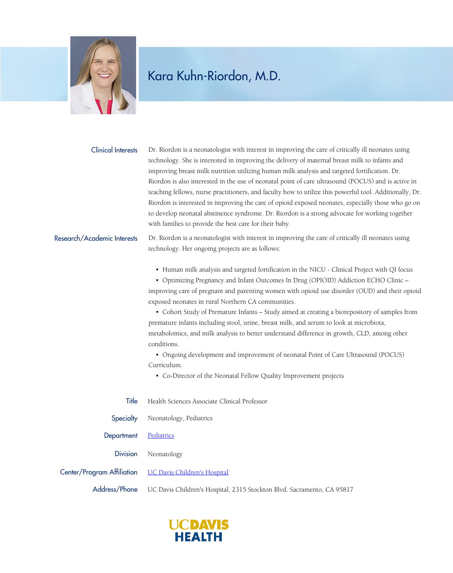

## Kara Kuhn-Riordon, M.D.

Dr. Riordon is a neonatologist with interest in improving the care of critically ill neonates using technology. She is interested in improving the delivery of maternal breast milk to infants and improving breast milk nutrition utilizing human milk analysis and targeted fortification. Dr. Riordon is also interested in the use of neonatal point of care ultrasound (POCUS) and is active in teaching fellows, nurse practitioners, and faculty how to utilize this powerful tool. Additionally, Dr. Riordon is interested in improving the care of opioid exposed neonates, especially those who go on to develop neonatal abstinence syndrome. Dr. Riordon is a strong advocate for working together with families to provide the best care for their baby. Clinical Interests

## Research/Academic Interests

Dr. Riordon is a neonatologist with interest in improving the care of critically ill neonates using technology. Her ongoing projects are as follows:

• Human milk analysis and targeted fortification in the NICU - Clinical Project with QI focus

 • Optimizing Pregnancy and Infant Outcomes In Drug (OPIOID) Addiction ECHO Clinic – improving care of pregnant and parenting women with opioid use disorder (OUD) and their opioid exposed neonates in rural Northern CA communities.

 • Cohort Study of Premature Infants – Study aimed at creating a biorepository of samples from premature infants including stool, urine, breast milk, and serum to look at microbiota, metabolomics, and milk analysis to better understand difference in growth, CLD, among other conditions.

 • Ongoing development and improvement of neonatal Point of Care Ultrasound (POCUS) Curriculum.

• Co-Director of the Neonatal Fellow Quality Improvement projects

- Title Health Sciences Associate Clinical Professor
- Specialty Neonatology, Pediatrics

Department [Pediatrics](https://www.ucdmc.ucdavis.edu/pediatrics/)

Division Neonatology

Center/Program Affiliation [UC Davis Children's Hospital](https://www.ucdmc.ucdavis.edu/children/)

Address/Phone UC Davis Children's Hospital, 2315 Stockton Blvd. Sacramento, CA 95817

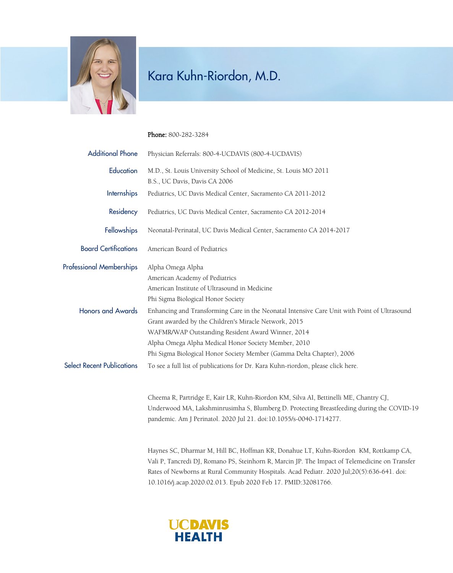

## Kara Kuhn-Riordon, M.D.

Phone: 800-282-3284

| <b>Additional Phone</b>           | Physician Referrals: 800-4-UCDAVIS (800-4-UCDAVIS)                                                                                                                                                                                                                                                                                          |
|-----------------------------------|---------------------------------------------------------------------------------------------------------------------------------------------------------------------------------------------------------------------------------------------------------------------------------------------------------------------------------------------|
| Education                         | M.D., St. Louis University School of Medicine, St. Louis MO 2011<br>B.S., UC Davis, Davis CA 2006                                                                                                                                                                                                                                           |
| Internships                       | Pediatrics, UC Davis Medical Center, Sacramento CA 2011-2012                                                                                                                                                                                                                                                                                |
| Residency                         | Pediatrics, UC Davis Medical Center, Sacramento CA 2012-2014                                                                                                                                                                                                                                                                                |
| Fellowships                       | Neonatal-Perinatal, UC Davis Medical Center, Sacramento CA 2014-2017                                                                                                                                                                                                                                                                        |
| <b>Board Certifications</b>       | American Board of Pediatrics                                                                                                                                                                                                                                                                                                                |
| <b>Professional Memberships</b>   | Alpha Omega Alpha<br>American Academy of Pediatrics<br>American Institute of Ultrasound in Medicine<br>Phi Sigma Biological Honor Society                                                                                                                                                                                                   |
| <b>Honors and Awards</b>          | Enhancing and Transforming Care in the Neonatal Intensive Care Unit with Point of Ultrasound<br>Grant awarded by the Children's Miracle Network, 2015<br>WAFMR/WAP Outstanding Resident Award Winner, 2014<br>Alpha Omega Alpha Medical Honor Society Member, 2010<br>Phi Sigma Biological Honor Society Member (Gamma Delta Chapter), 2006 |
| <b>Select Recent Publications</b> | To see a full list of publications for Dr. Kara Kuhn-riordon, please click here.                                                                                                                                                                                                                                                            |
|                                   | Cheema R, Partridge E, Kair LR, Kuhn-Riordon KM, Silva AI, Bettinelli ME, Chantry CJ,<br>Underwood MA, Lakshminrusimha S, Blumberg D. Protecting Breastfeeding during the COVID-19<br>pandemic. Am J Perinatol. 2020 Jul 21. doi:10.1055/s-0040-1714277.                                                                                    |
|                                   | $H_{1}, \ldots, CCD$ . Define the $M$ is $H_1, H_2, \ldots, H_D$ . Define the $H_2, \ldots, H_D$ is the set of $M$ in $H_1, \ldots, C$                                                                                                                                                                                                      |

Haynes SC, Dharmar M, Hill BC, Hoffman KR, Donahue LT, Kuhn-Riordon KM, Rottkamp CA, Vali P, Tancredi DJ, Romano PS, Steinhorn R, Marcin JP. The Impact of Telemedicine on Transfer Rates of Newborns at Rural Community Hospitals. Acad Pediatr. 2020 Jul;20(5):636-641. doi: 10.1016/j.acap.2020.02.013. Epub 2020 Feb 17. PMID:32081766.